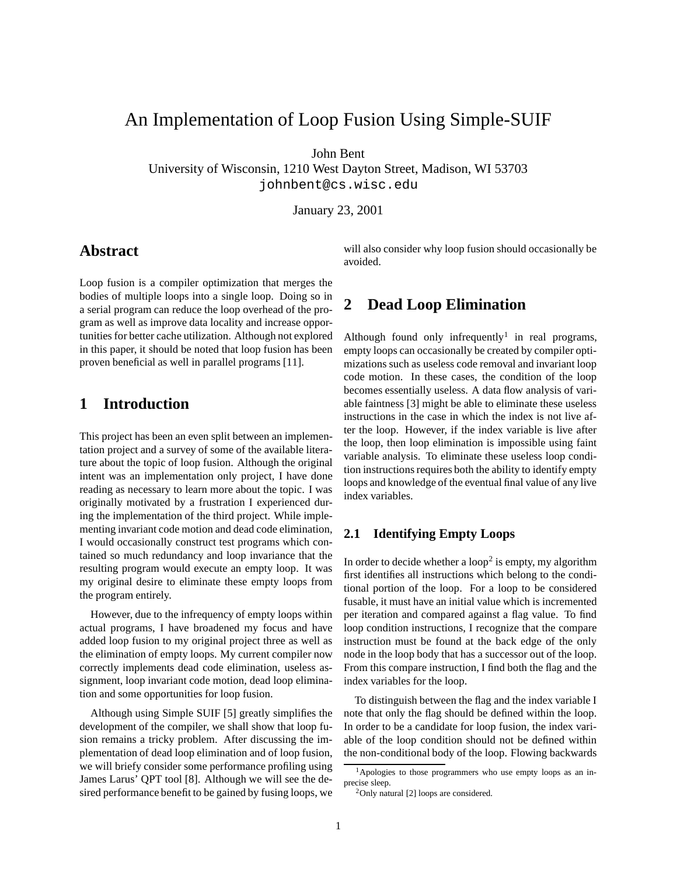# An Implementation of Loop Fusion Using Simple-SUIF

John Bent

University of Wisconsin, 1210 West Dayton Street, Madison, WI 53703 johnbent@cs.wisc.edu

January 23, 2001

## **Abstract**

Loop fusion is a compiler optimization that merges the bodies of multiple loops into a single loop. Doing so in a serial program can reduce the loop overhead of the program as well as improve data locality and increase opportunities for better cache utilization. Although not explored in this paper, it should be noted that loop fusion has been proven beneficial as well in parallel programs [11].

## **1 Introduction**

This project has been an even split between an implementation project and a survey of some of the available literature about the topic of loop fusion. Although the original intent was an implementation only project, I have done reading as necessary to learn more about the topic. I was originally motivated by a frustration I experienced during the implementation of the third project. While implementing invariant code motion and dead code elimination, I would occasionally construct test programs which contained so much redundancy and loop invariance that the resulting program would execute an empty loop. It was my original desire to eliminate these empty loops from the program entirely.

However, due to the infrequency of empty loops within actual programs, I have broadened my focus and have added loop fusion to my original project three as well as the elimination of empty loops. My current compiler now correctly implements dead code elimination, useless assignment, loop invariant code motion, dead loop elimination and some opportunities for loop fusion.

Although using Simple SUIF [5] greatly simplifies the development of the compiler, we shall show that loop fusion remains a tricky problem. After discussing the implementation of dead loop elimination and of loop fusion, we will briefy consider some performance profiling using James Larus' QPT tool [8]. Although we will see the desired performance benefit to be gained by fusing loops, we

will also consider why loop fusion should occasionally be avoided.

## **2 Dead Loop Elimination**

Although found only infrequently<sup>1</sup> in real programs, empty loops can occasionally be created by compiler optimizations such as useless code removal and invariant loop code motion. In these cases, the condition of the loop becomes essentially useless. A data flow analysis of variable faintness [3] might be able to eliminate these useless instructions in the case in which the index is not live after the loop. However, if the index variable is live after the loop, then loop elimination is impossible using faint variable analysis. To eliminate these useless loop condition instructions requires both the ability to identify empty loops and knowledge of the eventual final value of any live index variables.

### **2.1 Identifying Empty Loops**

In order to decide whether a loop<sup>2</sup> is empty, my algorithm first identifies all instructions which belong to the conditional portion of the loop. For a loop to be considered fusable, it must have an initial value which is incremented per iteration and compared against a flag value. To find loop condition instructions, I recognize that the compare instruction must be found at the back edge of the only node in the loop body that has a successor out of the loop. From this compare instruction, I find both the flag and the index variables for the loop.

To distinguish between the flag and the index variable I note that only the flag should be defined within the loop. In order to be a candidate for loop fusion, the index variable of the loop condition should not be defined within the non-conditional body of the loop. Flowing backwards

<sup>&</sup>lt;sup>1</sup>Apologies to those programmers who use empty loops as an inprecise sleep.

<sup>2</sup>Only natural [2] loops are considered.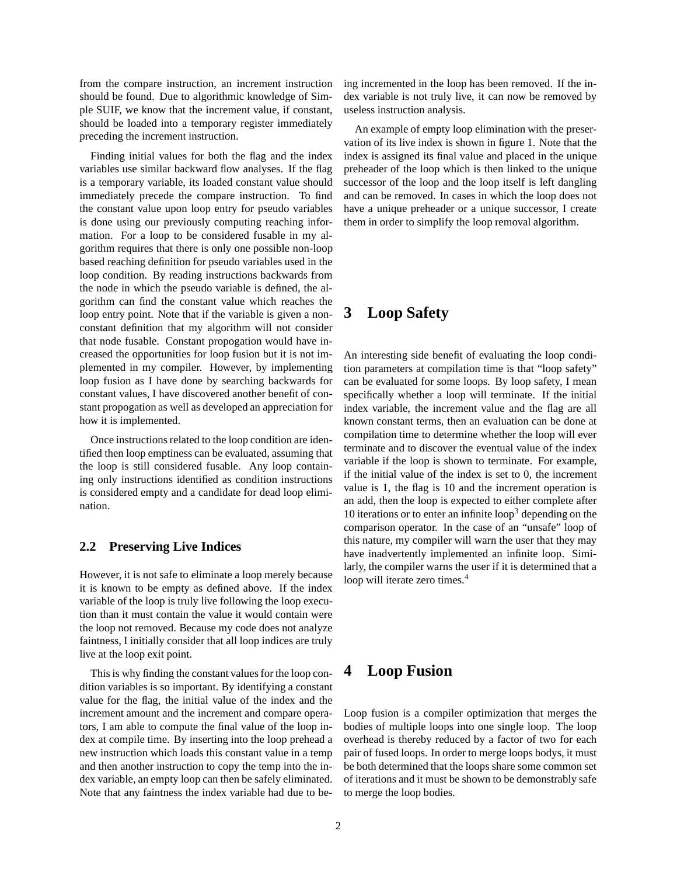from the compare instruction, an increment instruction should be found. Due to algorithmic knowledge of Simple SUIF, we know that the increment value, if constant, should be loaded into a temporary register immediately preceding the increment instruction.

Finding initial values for both the flag and the index variables use similar backward flow analyses. If the flag is a temporary variable, its loaded constant value should immediately precede the compare instruction. To find the constant value upon loop entry for pseudo variables is done using our previously computing reaching information. For a loop to be considered fusable in my algorithm requires that there is only one possible non-loop based reaching definition for pseudo variables used in the loop condition. By reading instructions backwards from the node in which the pseudo variable is defined, the algorithm can find the constant value which reaches the loop entry point. Note that if the variable is given a nonconstant definition that my algorithm will not consider that node fusable. Constant propogation would have increased the opportunities for loop fusion but it is not implemented in my compiler. However, by implementing loop fusion as I have done by searching backwards for constant values, I have discovered another benefit of constant propogation as well as developed an appreciation for how it is implemented.

Once instructions related to the loop condition are identified then loop emptiness can be evaluated, assuming that the loop is still considered fusable. Any loop containing only instructions identified as condition instructions is considered empty and a candidate for dead loop elimination.

### **2.2 Preserving Live Indices**

However, it is not safe to eliminate a loop merely because it is known to be empty as defined above. If the index variable of the loop is truly live following the loop execution than it must contain the value it would contain were the loop not removed. Because my code does not analyze faintness, I initially consider that all loop indices are truly live at the loop exit point.

This is why finding the constant values for the loop condition variables is so important. By identifying a constant value for the flag, the initial value of the index and the increment amount and the increment and compare operators, I am able to compute the final value of the loop index at compile time. By inserting into the loop prehead a new instruction which loads this constant value in a temp and then another instruction to copy the temp into the index variable, an empty loop can then be safely eliminated. Note that any faintness the index variable had due to being incremented in the loop has been removed. If the index variable is not truly live, it can now be removed by useless instruction analysis.

An example of empty loop elimination with the preservation of its live index is shown in figure 1. Note that the index is assigned its final value and placed in the unique preheader of the loop which is then linked to the unique successor of the loop and the loop itself is left dangling and can be removed. In cases in which the loop does not have a unique preheader or a unique successor, I create them in order to simplify the loop removal algorithm.

## **3 Loop Safety**

An interesting side benefit of evaluating the loop condition parameters at compilation time is that "loop safety" can be evaluated for some loops. By loop safety, I mean specifically whether a loop will terminate. If the initial index variable, the increment value and the flag are all known constant terms, then an evaluation can be done at compilation time to determine whether the loop will ever terminate and to discover the eventual value of the index variable if the loop is shown to terminate. For example, if the initial value of the index is set to 0, the increment value is 1, the flag is 10 and the increment operation is an add, then the loop is expected to either complete after 10 iterations or to enter an infinite  $loop<sup>3</sup>$  depending on the comparison operator. In the case of an "unsafe" loop of this nature, my compiler will warn the user that they may have inadvertently implemented an infinite loop. Similarly, the compiler warns the user if it is determined that a loop will iterate zero times.<sup>4</sup>

## **4 Loop Fusion**

Loop fusion is a compiler optimization that merges the bodies of multiple loops into one single loop. The loop overhead is thereby reduced by a factor of two for each pair of fused loops. In order to merge loops bodys, it must be both determined that the loops share some common set of iterations and it must be shown to be demonstrably safe to merge the loop bodies.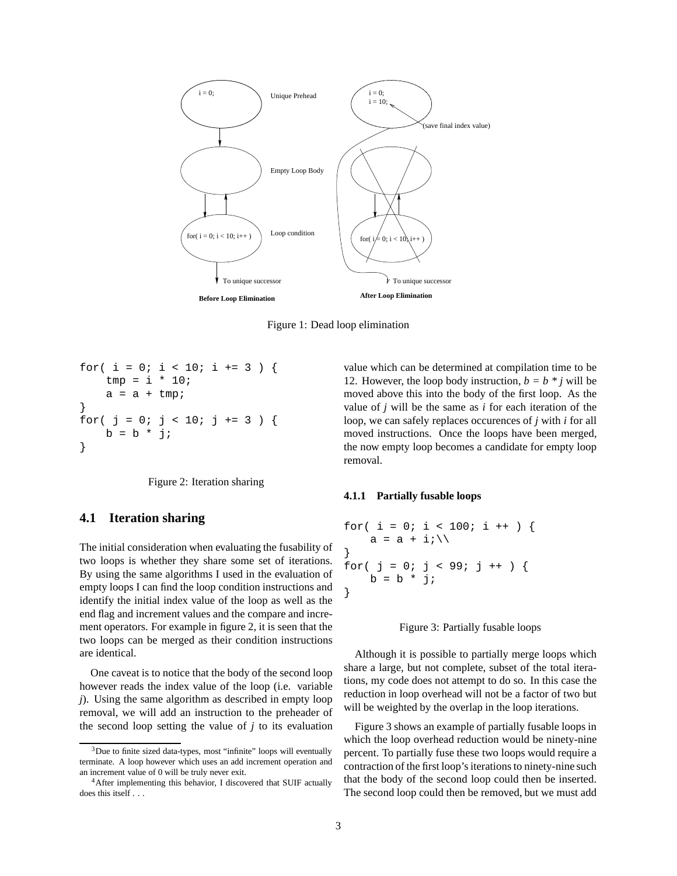

Figure 1: Dead loop elimination

```
for( i = 0; i < 10; i += 3 ) {
    tmp = i * 10;a = a + \text{tmp};}
for( j = 0; j < 10; j += 3 ) {
    b = b * j;}
```
Figure 2: Iteration sharing

### **4.1 Iteration sharing**

The initial consideration when evaluating the fusability of two loops is whether they share some set of iterations. By using the same algorithms I used in the evaluation of empty loops I can find the loop condition instructions and identify the initial index value of the loop as well as the end flag and increment values and the compare and increment operators. For example in figure 2, it is seen that the two loops can be merged as their condition instructions are identical.

One caveat is to notice that the body of the second loop however reads the index value of the loop (i.e. variable *j*). Using the same algorithm as described in empty loop removal, we will add an instruction to the preheader of the second loop setting the value of *j* to its evaluation

value which can be determined at compilation time to be 12. However, the loop body instruction,  $b = b * j$  will be moved above this into the body of the first loop. As the value of *j* will be the same as *i* for each iteration of the loop, we can safely replaces occurences of *j* with *i* for all moved instructions. Once the loops have been merged, the now empty loop becomes a candidate for empty loop removal.

#### **4.1.1 Partially fusable loops**

```
for( i = 0; i < 100; i + ) {
    a = a + i \in \setminus}
for( j = 0; j < 99; j + j) {
    b = b * j;}
```


Although it is possible to partially merge loops which share a large, but not complete, subset of the total iterations, my code does not attempt to do so. In this case the reduction in loop overhead will not be a factor of two but will be weighted by the overlap in the loop iterations.

Figure 3 shows an example of partially fusable loops in which the loop overhead reduction would be ninety-nine percent. To partially fuse these two loops would require a contraction of the first loop's iterations to ninety-nine such that the body of the second loop could then be inserted. The second loop could then be removed, but we must add

<sup>&</sup>lt;sup>3</sup>Due to finite sized data-types, most "infinite" loops will eventually terminate. A loop however which uses an add increment operation and an increment value of 0 will be truly never exit.

<sup>4</sup>After implementing this behavior, I discovered that SUIF actually does this itself . . .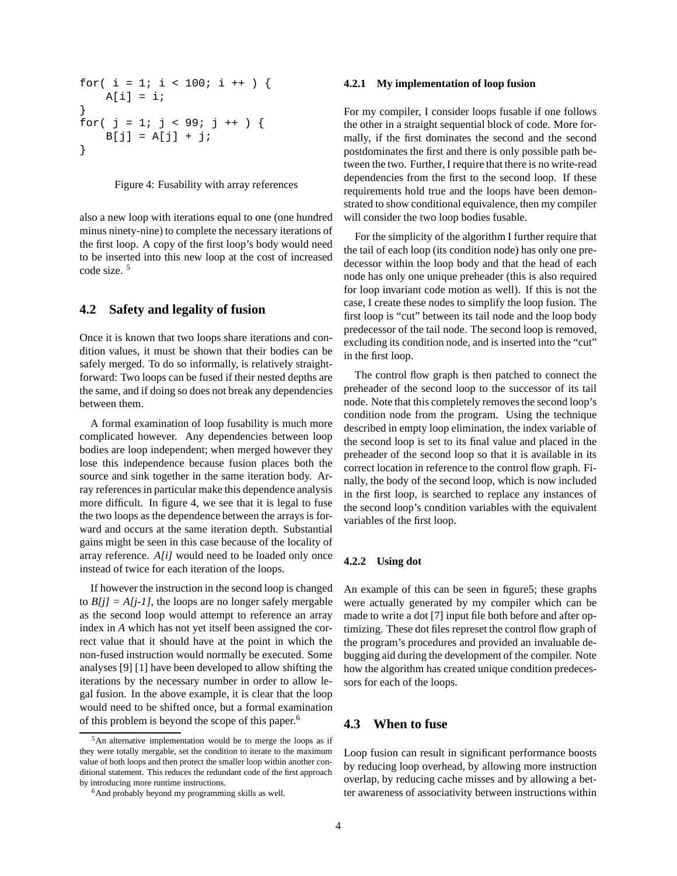for(  $i = 1$ ;  $i < 100$ ;  $i +$  ) {  $A[i] = i;$ } for(  $j = 1; j < 99; j + j$ ) {  $B[j] = A[j] + j;$ }

#### Figure 4: Fusability with array references

also a new loop with iterations equal to one (one hundred minus ninety-nine) to complete the necessary iterations of the first loop. A copy of the first loop's body would need to be inserted into this new loop at the cost of increased code size. <sup>5</sup>

### **4.2 Safety and legality of fusion**

Once it is known that two loops share iterations and condition values, it must be shown that their bodies can be safely merged. To do so informally, is relatively straightforward: Two loops can be fused if their nested depths are the same, and if doing so does not break any dependencies between them.

A formal examination of loop fusability is much more complicated however. Any dependencies between loop bodies are loop independent; when merged however they lose this independence because fusion places both the source and sink together in the same iteration body. Array referencesin particular make this dependence analysis more difficult. In figure 4, we see that it is legal to fuse the two loops as the dependence between the arrays is forward and occurs at the same iteration depth. Substantial gains might be seen in this case because of the locality of array reference. *A[i]* would need to be loaded only once instead of twice for each iteration of the loops.

If however the instruction in the second loop is changed to  $B[j] = A[j-1]$ , the loops are no longer safely mergable as the second loop would attempt to reference an array index in *A* which has not yet itself been assigned the correct value that it should have at the point in which the non-fused instruction would normally be executed. Some analyses [9] [1] have been developed to allow shifting the iterations by the necessary number in order to allow legal fusion. In the above example, it is clear that the loop would need to be shifted once, but a formal examination of this problem is beyond the scope of this paper. 6

#### **4.2.1 My implementation of loop fusion**

For my compiler, I consider loops fusable if one follows the other in a straight sequential block of code. More formally, if the first dominates the second and the second postdominates the first and there is only possible path between the two. Further, I require that there is no write-read dependencies from the first to the second loop. If these requirements hold true and the loops have been demonstrated to show conditional equivalence, then my compiler will consider the two loop bodies fusable.

For the simplicity of the algorithm I further require that the tail of each loop (its condition node) has only one predecessor within the loop body and that the head of each node has only one unique preheader (this is also required for loop invariant code motion as well). If this is not the case, I create these nodes to simplify the loop fusion. The first loop is "cut" between its tail node and the loop body predecessor of the tail node. The second loop is removed, excluding its condition node, and is inserted into the "cut" in the first loop.

The control flow graph is then patched to connect the preheader of the second loop to the successor of its tail node. Note that this completely removes the second loop's condition node from the program. Using the technique described in empty loop elimination, the index variable of the second loop is set to its final value and placed in the preheader of the second loop so that it is available in its correct location in reference to the control flow graph. Finally, the body of the second loop, which is now included in the first loop, is searched to replace any instances of the second loop's condition variables with the equivalent variables of the first loop.

#### **4.2.2 Using dot**

An example of this can be seen in figure5; these graphs were actually generated by my compiler which can be made to write a dot [7] input file both before and after optimizing. These dot files represet the control flow graph of the program's procedures and provided an invaluable debugging aid during the development of the compiler. Note how the algorithm has created unique condition predecessors for each of the loops.

### **4.3 When to fuse**

Loop fusion can result in significant performance boosts by reducing loop overhead, by allowing more instruction overlap, by reducing cache misses and by allowing a better awareness of associativity between instructions within

<sup>5</sup>An alternative implementation would be to merge the loops as if they were totally mergable, set the condition to iterate to the maximum value of both loops and then protect the smaller loop within another conditional statement. This reduces the redundant code of the first approach by introducing more runtime instructions.

<sup>&</sup>lt;sup>6</sup>And probably beyond my programming skills as well.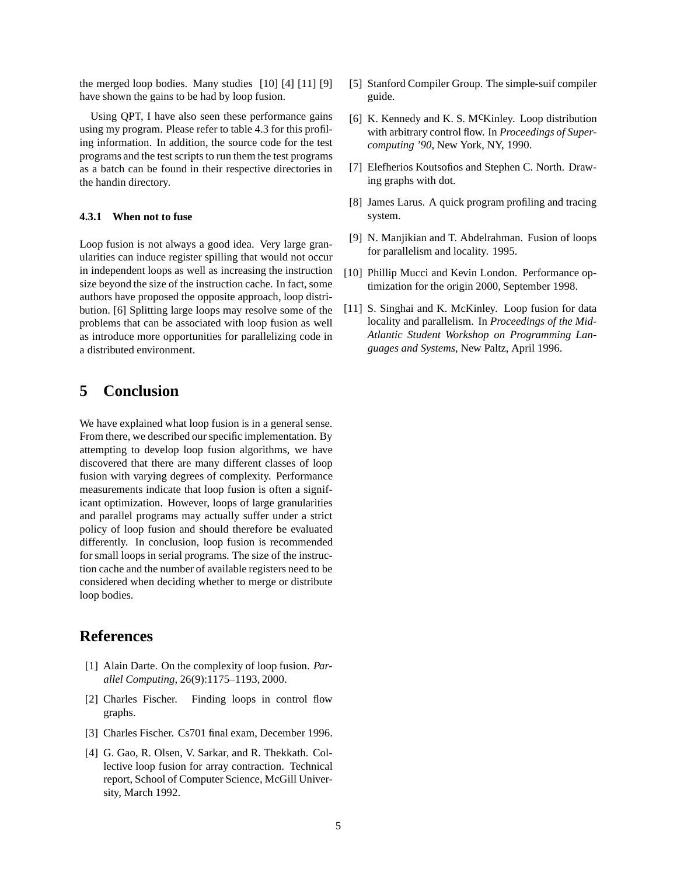the merged loop bodies. Many studies [10] [4] [11] [9] have shown the gains to be had by loop fusion.

Using QPT, I have also seen these performance gains using my program. Please refer to table 4.3 for this profiling information. In addition, the source code for the test programs and the test scripts to run them the test programs as a batch can be found in their respective directories in the handin directory.

#### **4.3.1 When not to fuse**

Loop fusion is not always a good idea. Very large granularities can induce register spilling that would not occur in independent loops as well as increasing the instruction size beyond the size of the instruction cache. In fact, some authors have proposed the opposite approach, loop distribution. [6] Splitting large loops may resolve some of the problems that can be associated with loop fusion as well as introduce more opportunities for parallelizing code in a distributed environment.

## **5 Conclusion**

We have explained what loop fusion is in a general sense. From there, we described our specific implementation. By attempting to develop loop fusion algorithms, we have discovered that there are many different classes of loop fusion with varying degrees of complexity. Performance measurements indicate that loop fusion is often a significant optimization. However, loops of large granularities and parallel programs may actually suffer under a strict policy of loop fusion and should therefore be evaluated differently. In conclusion, loop fusion is recommended for small loops in serial programs. The size of the instruction cache and the number of available registers need to be considered when deciding whether to merge or distribute loop bodies.

### **References**

- [1] Alain Darte. On the complexity of loop fusion. *Parallel Computing*, 26(9):1175–1193, 2000.
- [2] Charles Fischer. Finding loops in control flow graphs.
- [3] Charles Fischer. Cs701 final exam, December 1996.
- [4] G. Gao, R. Olsen, V. Sarkar, and R. Thekkath. Collective loop fusion for array contraction. Technical report, School of Computer Science, McGill University, March 1992.
- [5] Stanford Compiler Group. The simple-suif compiler guide.
- [6] K. Kennedy and K. S. McKinley. Loop distribution with arbitrary control flow. In *Proceedings of Supercomputing '90*, New York, NY, 1990.
- [7] Elefherios Koutsofios and Stephen C. North. Drawing graphs with dot.
- [8] James Larus. A quick program profiling and tracing system.
- [9] N. Manjikian and T. Abdelrahman. Fusion of loops for parallelism and locality. 1995.
- [10] Phillip Mucci and Kevin London. Performance optimization for the origin 2000, September 1998.
- [11] S. Singhai and K. McKinley. Loop fusion for data locality and parallelism. In *Proceedings of the Mid-Atlantic Student Workshop on Programming Languages and Systems*, New Paltz, April 1996.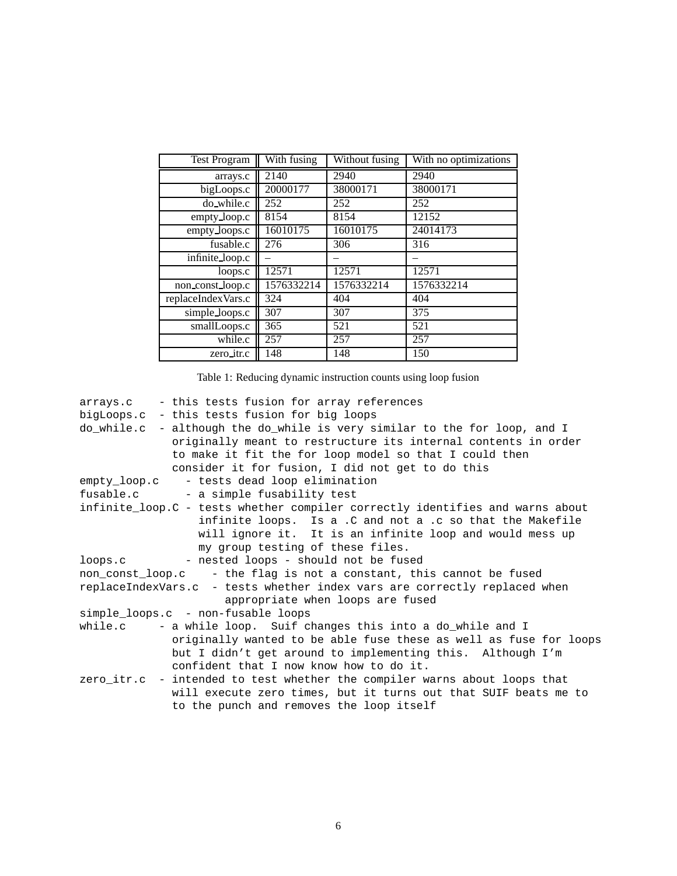| <b>Test Program</b>                 | With fusing | Without fusing | With no optimizations |  |
|-------------------------------------|-------------|----------------|-----------------------|--|
| arrays.c                            | 2140        | 2940           | 2940                  |  |
| bigLoops.c                          | 20000177    | 38000171       | 38000171              |  |
| do_while.c                          | 252         | 252            | 252                   |  |
| empty_loop.c                        | 8154        | 8154           | 12152                 |  |
| empty_loops.c                       | 16010175    | 16010175       | 24014173              |  |
| fusable.c                           | 276         | 306            | 316                   |  |
| $\overline{\text{infinite}}$ loop.c |             |                |                       |  |
| loops.c                             | 12571       | 12571          | 12571                 |  |
| non const loop.c                    | 1576332214  | 1576332214     | 1576332214            |  |
| replaceIndexVars.c                  | 324         | 404            | 404                   |  |
| simple_loops.c                      | 307         | 307            | 375                   |  |
| smallLoops.c                        | 365         | 521            | 521                   |  |
| while.c                             | 257         | 257            | 257                   |  |
| zero_itr.c                          | 148         | 148            | 150                   |  |

| Table 1: Reducing dynamic instruction counts using loop fusion |  |  |
|----------------------------------------------------------------|--|--|
|                                                                |  |  |